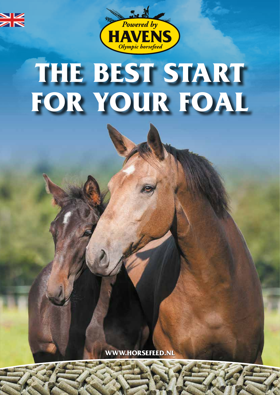



# **THE BEST START FOR YOUR FOAL**

**WWW.HORSEFEED.NL**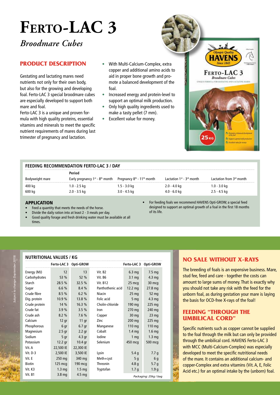## **Ferto-LAC 3**

*Broodmare Cubes*

#### **PRODUCT DESCRIPTION**

Gestating and lactating mares need nutrients not only for their own body, but also for the growing and developing foal. Ferto-LAC 3 special broodmare cubes are especially developed to support both mare and foal.

Ferto-LAC 3 is a unique and proven formula with high quality proteins, essential vitamins and minerals to meet the specific nutrient requirements of mares during last trimester of pregnancy and lactation.

- With Multi-Calcium-Complex, extra copper and additional amino acids to aid in proper bone growth and promote a balanced development of the foal.
- Increased energy and protein-level to support an optimal milk production.
- Only high quality ingredients used to make a tasty pellet (7 mm).
- Excellent value for money.



#### **FEEDING RECOMMENDATION FERTO-LAC 3 / DAY**

|                 | Period                                    |                                                    |                                     |                          |
|-----------------|-------------------------------------------|----------------------------------------------------|-------------------------------------|--------------------------|
| Bodyweight mare | Early pregnancy $1^{st}$ - $8^{th}$ month | Pregnancy 8 <sup>th</sup> - 11 <sup>th</sup> month | Lactation $1^{st}$ - $3^{rd}$ month | Lactation from 3rd month |
| 400 kg          | 1.0 - 2.5 kg                              | $1.5 - 3.0$ kg                                     | 2.0 - 4.0 kg                        | $1.0 - 3.0$ kg           |
| 600 kg          | $2.0 - 3.5$ kg                            | $3.0 - 4.5$ kg                                     | 4.0 - 6.0 kg                        | 2.5 - 4.5 kg             |

#### APPLICATION

- Feed a quantity that meets the needs of the horse.
- Divide the daily ration into at least 2 3 meals per day.
- Good quality forage and fresh drinking water must be available at all times.

• For feeding foals we recommend HAVENS Opti-GROW; a special feed designed to support an optimal growth of a foal in the first 18 months of its life.

#### **NUTRITIONAL VALUES / KG**

|               |                   | Ferto-LAC 3 Opti-GROW |                     | Ferto-LAC 3 Opti-GROW |                       |
|---------------|-------------------|-----------------------|---------------------|-----------------------|-----------------------|
| Energy (MJ)   | 12                | 13                    | Vit. B <sub>2</sub> | 6.3 <sub>mg</sub>     | 7.5 <sub>mg</sub>     |
| Carbohydrates | 53 %              | 52 %                  | Vit. B6             | $3.1 \text{ mg}$      | $4.3 \text{ mg}$      |
| Starch        | 28.5 %            | 32.5 %                | <b>Vit. B12</b>     | $25 \text{ m}$ cq     | 30 mcg                |
| Sugar         | 6.6%              | 8.4%                  | Panthothenic acid   | $12.2 \text{ mg}$     | 27.8 <sub>mg</sub>    |
| Crude fibre   | 8.5%              | 6.2%                  | Niacin              | $25 \text{ mg}$       | 52 mg                 |
| Dig. protein  | 10.9%             | 13.8 %                | <b>Folic acid</b>   | 5 <sub>mq</sub>       | 4.3 <sub>mg</sub>     |
| Crude protein | 14 %              | 16.3 %                | Cholin-chloride     | 190 mg                | $225$ mg              |
| Crude fat     | 3.9%              | 3.5%                  | Iron                | $270$ mg              | 240 mg                |
| Crude ash     | 8.2%              | 7.6%                  | Copper              | $30 \text{ mg}$       | $23 \text{ mg}$       |
| Calcium       | $12$ gr           | 11 gr                 | Zinc                | 200 mg                | 225 mg                |
| Phosphorous   | 6 gr              | $6.7$ gr              | Manganese           | $110 \text{ mg}$      | $110 \text{ mg}$      |
| Magnesium     | $2.5$ gr          | $2.2$ gr              | Cobalt              | 1.4 <sub>mg</sub>     | 1.6 <sub>mq</sub>     |
| Sodium        | 5 <sub>gr</sub>   | 4.3 gr                | lodine              | 1 <sub>mq</sub>       | $1.3 \text{ mg}$      |
| Potassium     | 12.2 gr           | 10.4 <sub>qr</sub>    | Selenium            | 450 mcg               | 500 mcg               |
| Vit. A        | 22,500 IE         | 22,300 IE             |                     |                       |                       |
| Vit. D-3      | 2,500 IE          | 3,500 IE              | Lysin               | 5.4q                  | 7.7q                  |
| Vit. E        | $250$ mg          | 340 mg                | Meth+cyst           | 5q                    | 6 <sub>g</sub>        |
| <b>Biotin</b> | $125 \text{ m}$   | 190 mcg               | Threonin            | 4.8q                  | 5.7 <sub>q</sub>      |
| Vit. K3       | 1.3 <sub>mq</sub> | 1.5 <sub>mq</sub>     | Tryptofan           | 1.7 <sub>g</sub>      | 1.9 <sub>g</sub>      |
| Vit. B1       | 3.8 <sub>mg</sub> | 4.5 <sub>mq</sub>     |                     |                       | Packaging: 25kg / bag |

#### **NO SALE WITHOUT X-RAYS**

The breeding of foals is an expensive business. Mare, stud fee, feed and care - together the costs can amount to large sums of money. That is exactly why you should not take any risk with the feed for the unborn foal, as during gestation your mare is laying the basis for OCD-free X-rays of the foal!

#### **FEEDING "THROUGH THE UMBILICAL CORD"**

Specific nutrients such as copper cannot be supplied to the foal through the milk but can only be provided through the umbilical cord. HAVENS Ferto-LAC 3 with MCC (Multi-Calcium-Complex) was especially developed to meet the specific nutritional needs of the mare. It contains an additional calcium- and copper-Complex and extra vitamins (Vit. A, E, Folic Acid etc.) for an optimal intake by the (unborn) foal.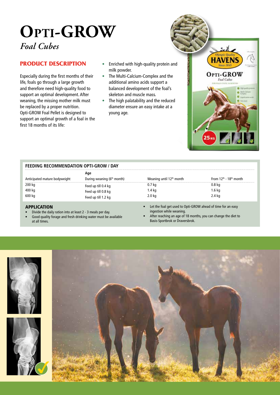### **Opti-GROW** *Foal Cubes*

#### **PRODUCT DESCRIPTION**

Especially during the first months of their life, foals go through a large growth and therefore need high-quality food to support an optimal development. After weaning, the missing mother milk must be replaced by a proper nutrition. Opti-GROW Foal Pellet is designed to support an optimal growth of a foal in the first 18 months of its life:

- Enriched with high-quality protein and milk powder.
- The Multi-Calcium-Complex and the additional amino acids support a balanced development of the foal's skeleton and muscle mass.
- The high palatability and the reduced diameter ensure an easy intake at a young age.

| FEEDING RECOMMENDATION OPTI-GROW / DAY |  |
|----------------------------------------|--|
|----------------------------------------|--|

|                               | Age                                    |                                      |                                                |
|-------------------------------|----------------------------------------|--------------------------------------|------------------------------------------------|
| Anticipated mature bodyweight | During weaning (6 <sup>th</sup> month) | Weaning until 12 <sup>th</sup> month | From $12^{\text{th}}$ - $18^{\text{th}}$ month |
| 200 kg                        | Feed up till 0.4 kg                    | 0.7 kg                               | 0.8 ka                                         |
| 400 kg                        | Feed up till 0.8 kg                    | 1.4 kg                               | 1.6 kg                                         |
| 600 kg                        | Feed up till 1.2 kg                    | 2.0 kg                               | 2.4 kg                                         |

#### APPLICATION

- Divide the daily ration into at least 2 3 meals per day.
- Good quality forage and fresh drinking water must be available at all times.
- Let the foal get used to Opti-GROW ahead of time for an easy ingestion while weaning.

**HAVEN** 

**OPTI-GROW** Foal Cuber

 $25<sub>kt</sub>$ 

• After reaching an age of 18 months, you can change the diet to Basis-Sportbrok or Draversbrok.